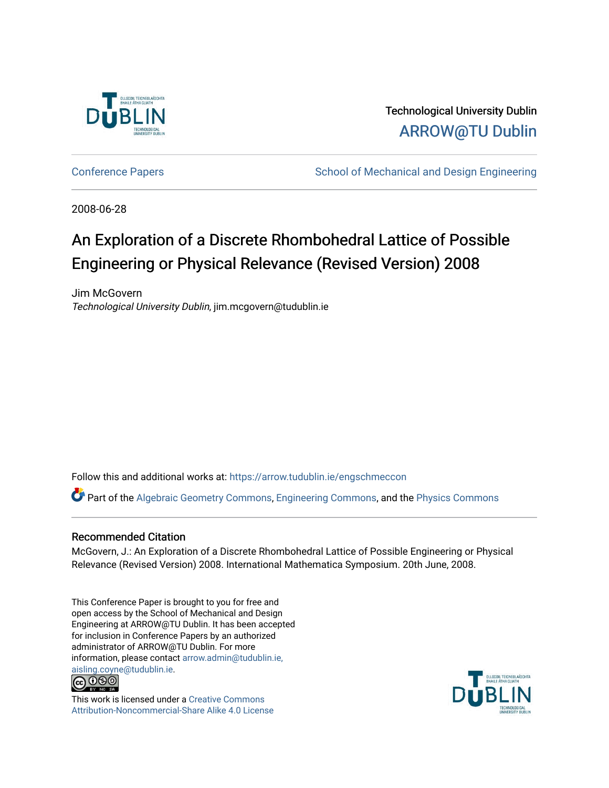

Technological University Dublin [ARROW@TU Dublin](https://arrow.tudublin.ie/) 

[Conference Papers](https://arrow.tudublin.ie/engschmeccon) **School of Mechanical and Design Engineering** School of Mechanical and Design Engineering

2008-06-28

# An Exploration of a Discrete Rhombohedral Lattice of Possible Engineering or Physical Relevance (Revised Version) 2008

Jim McGovern Technological University Dublin, jim.mcgovern@tudublin.ie

Follow this and additional works at: [https://arrow.tudublin.ie/engschmeccon](https://arrow.tudublin.ie/engschmeccon?utm_source=arrow.tudublin.ie%2Fengschmeccon%2F1&utm_medium=PDF&utm_campaign=PDFCoverPages) 

Part of the [Algebraic Geometry Commons](http://network.bepress.com/hgg/discipline/176?utm_source=arrow.tudublin.ie%2Fengschmeccon%2F1&utm_medium=PDF&utm_campaign=PDFCoverPages), [Engineering Commons,](http://network.bepress.com/hgg/discipline/217?utm_source=arrow.tudublin.ie%2Fengschmeccon%2F1&utm_medium=PDF&utm_campaign=PDFCoverPages) and the [Physics Commons](http://network.bepress.com/hgg/discipline/193?utm_source=arrow.tudublin.ie%2Fengschmeccon%2F1&utm_medium=PDF&utm_campaign=PDFCoverPages) 

# Recommended Citation

McGovern, J.: An Exploration of a Discrete Rhombohedral Lattice of Possible Engineering or Physical Relevance (Revised Version) 2008. International Mathematica Symposium. 20th June, 2008.

This Conference Paper is brought to you for free and open access by the School of Mechanical and Design Engineering at ARROW@TU Dublin. It has been accepted for inclusion in Conference Papers by an authorized administrator of ARROW@TU Dublin. For more information, please contact [arrow.admin@tudublin.ie,](mailto:arrow.admin@tudublin.ie,%20aisling.coyne@tudublin.ie)  [aisling.coyne@tudublin.ie.](mailto:arrow.admin@tudublin.ie,%20aisling.coyne@tudublin.ie)<br>© 090



This work is licensed under a [Creative Commons](http://creativecommons.org/licenses/by-nc-sa/4.0/) [Attribution-Noncommercial-Share Alike 4.0 License](http://creativecommons.org/licenses/by-nc-sa/4.0/)

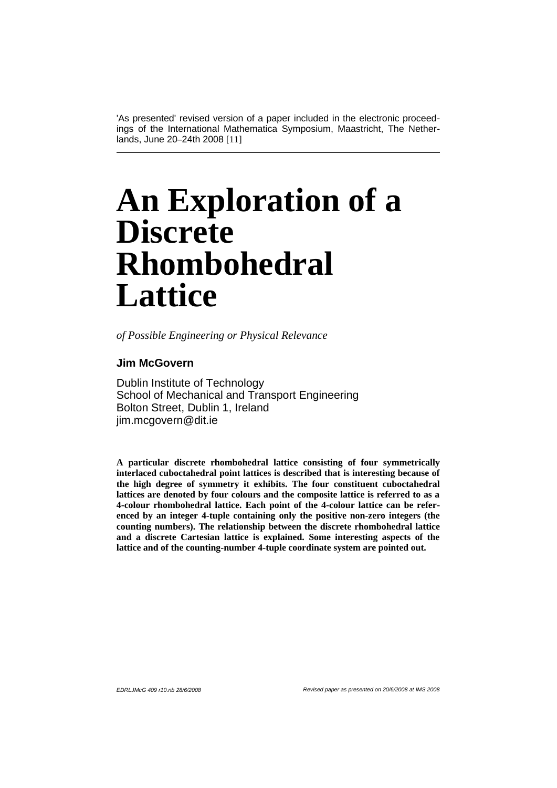'As presented' revised version of a paper included in the electronic proceedings of the International Mathematica Symposium, Maastricht, The Netherlands, June 20–24th 2008 [11]

# **An Exploration of a Discrete Rhombohedral Lattice**

*of Possible Engineering or Physical Relevance*

# **Jim McGovern**

Dublin Institute of Technology School of Mechanical and Transport Engineering Bolton Street, Dublin 1, Ireland jim.mcgovern@dit.ie

**A particular discrete rhombohedral lattice consisting of four symmetrically interlaced cuboctahedral point lattices is described that is interesting because of the high degree of symmetry it exhibits. The four constituent cuboctahedral lattices are denoted by four colours and the composite lattice is referred to as a 4-colour rhombohedral lattice. Each point of the 4-colour lattice can be referenced by an integer 4-tuple containing only the positive non-zero integers (the counting numbers). The relationship between the discrete rhombohedral lattice and a discrete Cartesian lattice is explained. Some interesting aspects of the lattice and of the counting-number 4-tuple coordinate system are pointed out.**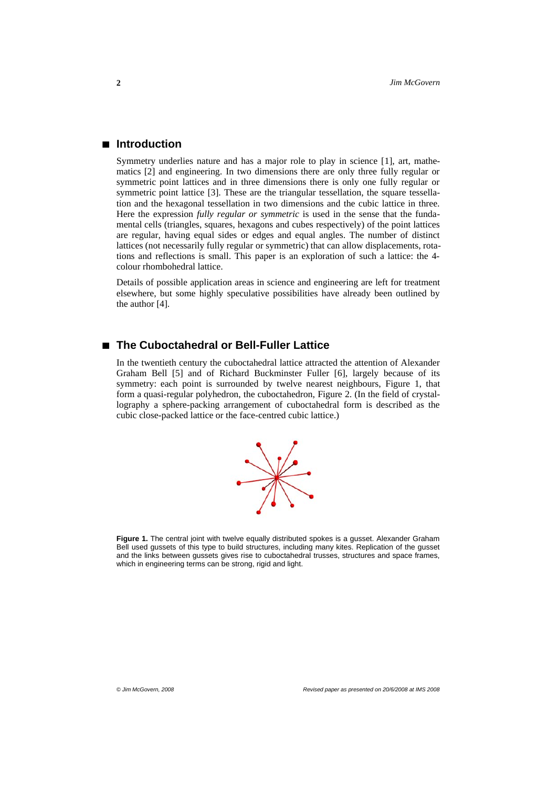## **à Introduction**

Symmetry underlies nature and has a major role to play in science [1], art, mathematics [2] and engineering. In two dimensions there are only three fully regular or symmetric point lattices and in three dimensions there is only one fully regular or symmetric point lattice [3]. These are the triangular tessellation, the square tessellation and the hexagonal tessellation in two dimensions and the cubic lattice in three. Here the expression *fully regular or symmetric* is used in the sense that the fundamental cells (triangles, squares, hexagons and cubes respectively) of the point lattices are regular, having equal sides or edges and equal angles. The number of distinct lattices (not necessarily fully regular or symmetric) that can allow displacements, rotations and reflections is small. This paper is an exploration of such a lattice: the 4 colour rhombohedral lattice.

Details of possible application areas in science and engineering are left for treatment elsewhere, but some highly speculative possibilities have already been outlined by the author [4].

# **à The Cuboctahedral or Bell-Fuller Lattice**

In the twentieth century the cuboctahedral lattice attracted the attention of Alexander Graham Bell [5] and of Richard Buckminster Fuller [6], largely because of its symmetry: each point is surrounded by twelve nearest neighbours, Figure 1, that form a quasi-regular polyhedron, the cuboctahedron, Figure 2. (In the field of crystallography a sphere-packing arrangement of cuboctahedral form is described as the cubic close-packed lattice or the face-centred cubic lattice.)



**Figure 1.** The central joint with twelve equally distributed spokes is a gusset. Alexander Graham Bell used gussets of this type to build structures, including many kites. Replication of the gusset and the links between gussets gives rise to cuboctahedral trusses, structures and space frames, which in engineering terms can be strong, rigid and light.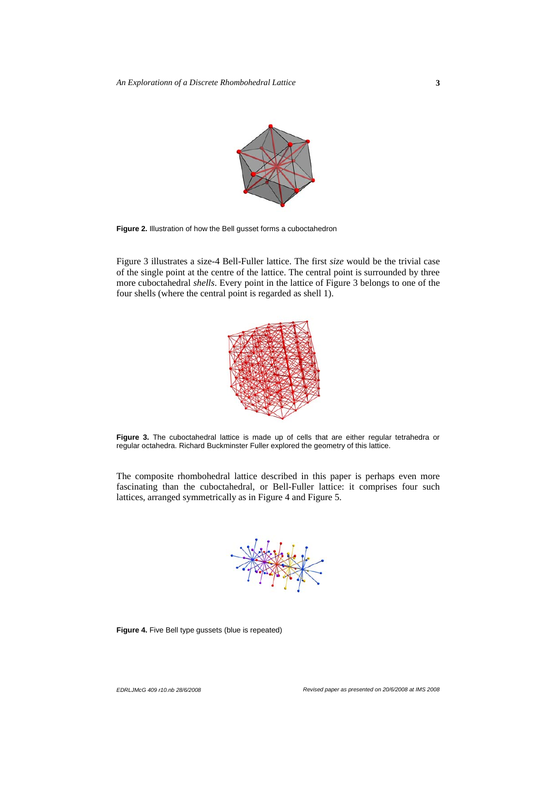

**Figure 2.** Illustration of how the Bell gusset forms a cuboctahedron

Figure 3 illustrates a size-4 Bell-Fuller lattice. The first *size* would be the trivial case of the single point at the centre of the lattice. The central point is surrounded by three more cuboctahedral *shells*. Every point in the lattice of Figure 3 belongs to one of the four shells (where the central point is regarded as shell 1).



Figure 3. The cuboctahedral lattice is made up of cells that are either regular tetrahedra or regular octahedra. Richard Buckminster Fuller explored the geometry of this lattice.

The composite rhombohedral lattice described in this paper is perhaps even more fascinating than the cuboctahedral, or Bell-Fuller lattice: it comprises four such lattices, arranged symmetrically as in Figure 4 and Figure 5.



**Figure 4.** Five Bell type gussets (blue is repeated)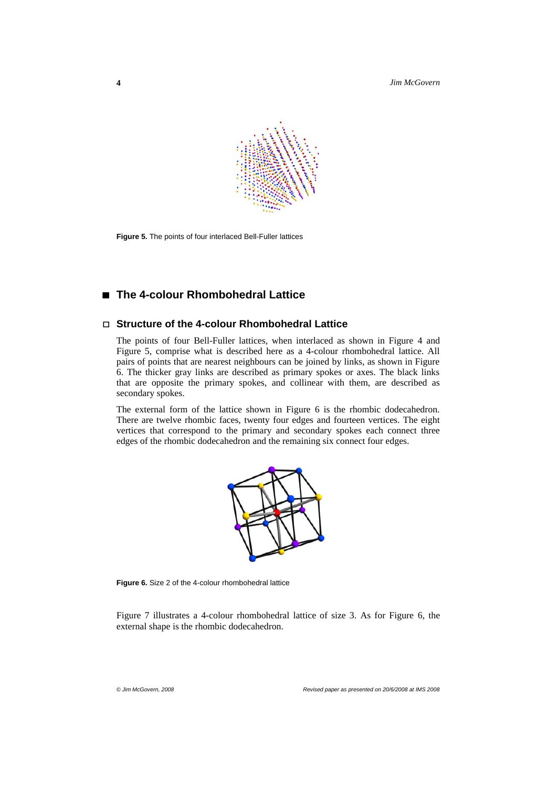

**Figure 5.** The points of four interlaced Bell-Fuller lattices

# **à The 4-colour Rhombohedral Lattice**

# **á Structure of the 4-colour Rhombohedral Lattice**

The points of four Bell-Fuller lattices, when interlaced as shown in Figure 4 and Figure 5, comprise what is described here as a 4-colour rhombohedral lattice. All pairs of points that are nearest neighbours can be joined by links, as shown in Figure 6. The thicker gray links are described as primary spokes or axes. The black links that are opposite the primary spokes, and collinear with them, are described as secondary spokes.

The external form of the lattice shown in Figure 6 is the rhombic dodecahedron. There are twelve rhombic faces, twenty four edges and fourteen vertices. The eight vertices that correspond to the primary and secondary spokes each connect three edges of the rhombic dodecahedron and the remaining six connect four edges.



**Figure 6.** Size 2 of the 4-colour rhombohedral lattice

Figure 7 illustrates a 4-colour rhombohedral lattice of size 3. As for Figure 6, the external shape is the rhombic dodecahedron.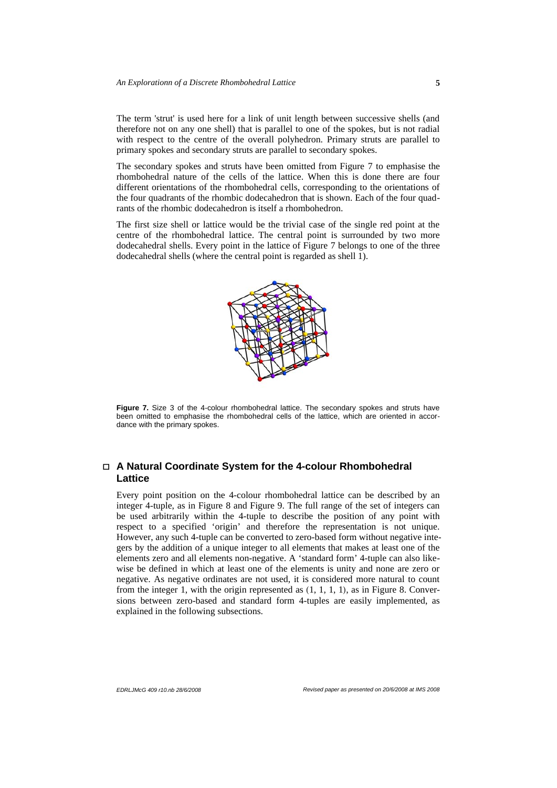The term 'strut' is used here for a link of unit length between successive shells (and therefore not on any one shell) that is parallel to one of the spokes, but is not radial with respect to the centre of the overall polyhedron. Primary struts are parallel to primary spokes and secondary struts are parallel to secondary spokes.

The secondary spokes and struts have been omitted from Figure 7 to emphasise the rhombohedral nature of the cells of the lattice. When this is done there are four different orientations of the rhombohedral cells, corresponding to the orientations of the four quadrants of the rhombic dodecahedron that is shown. Each of the four quadrants of the rhombic dodecahedron is itself a rhombohedron.

The first size shell or lattice would be the trivial case of the single red point at the centre of the rhombohedral lattice. The central point is surrounded by two more dodecahedral shells. Every point in the lattice of Figure 7 belongs to one of the three dodecahedral shells (where the central point is regarded as shell 1).



Fiaure 7. Size 3 of the 4-colour rhombohedral lattice. The secondary spokes and struts have been omitted to emphasise the rhombohedral cells of the lattice, which are oriented in accordance with the primary spokes.

# **á A Natural Coordinate System for the 4-colour Rhombohedral Lattice**

Every point position on the 4-colour rhombohedral lattice can be described by an integer 4-tuple, as in Figure 8 and Figure 9. The full range of the set of integers can be used arbitrarily within the 4-tuple to describe the position of any point with respect to a specified 'origin' and therefore the representation is not unique. However, any such 4-tuple can be converted to zero-based form without negative integers by the addition of a unique integer to all elements that makes at least one of the elements zero and all elements non-negative. A 'standard form' 4-tuple can also likewise be defined in which at least one of the elements is unity and none are zero or negative. As negative ordinates are not used, it is considered more natural to count from the integer 1, with the origin represented as  $(1, 1, 1, 1)$ , as in Figure 8. Conversions between zero-based and standard form 4-tuples are easily implemented, as explained in the following subsections.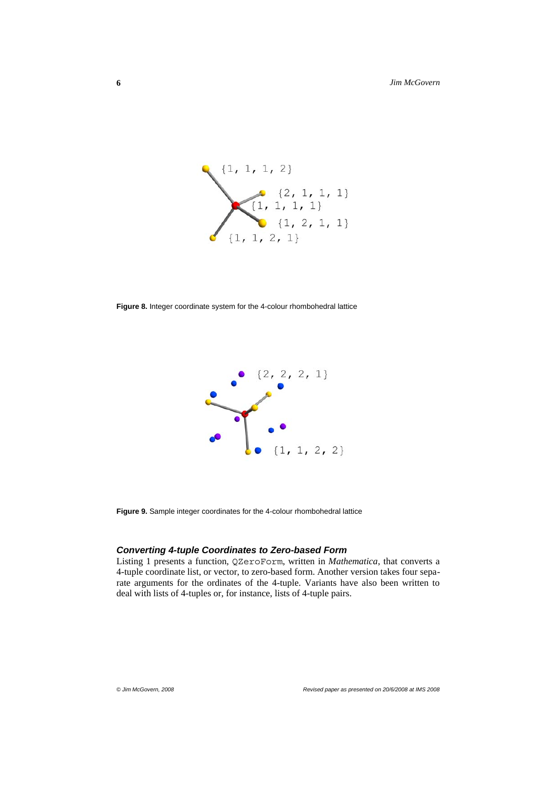

**Figure 8.** Integer coordinate system for the 4-colour rhombohedral lattice



**Figure 9.** Sample integer coordinates for the 4-colour rhombohedral lattice

#### *Converting 4-tuple Coordinates to Zero-based Form*

Listing 1 presents a function, QZeroForm, written in *Mathematica*, that converts a 4-tuple coordinate list, or vector, to zero-based form. Another version takes four separate arguments for the ordinates of the 4-tuple. Variants have also been written to deal with lists of 4-tuples or, for instance, lists of 4-tuple pairs.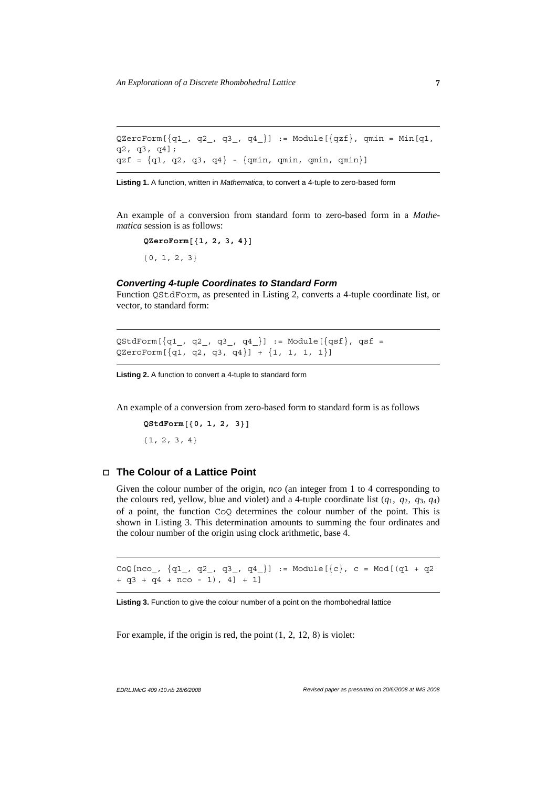```
QZeroForm[\{q1_, q2_, q3_, q4_\}]:= Module[\{qzf\}, qmin = Min[q1,q2, q3, q4];
qzf = {q1, q2, q3, q4} - {qmin, qmin, qmin, qmin}
```
**Listing 1.** A function, written in *Mathematica*, to convert a 4-tuple to zero-based form

An example of a conversion from standard form to zero-based form in a *Mathematica* session is as follows:

 $QZeroForm$ <sup>[{1, 2, 3, 4}]</sup>  ${0, 1, 2, 3}$ 

#### *Converting 4-tuple Coordinates to Standard Form*

Function QStdForm, as presented in Listing 2, converts a 4-tuple coordinate list, or vector, to standard form:

 $QStdForm[\{q1_, q2_, q3_, q4_\}]: = Module[\{qsf\}$ ,  $qsf =$ QZeroForm[{q1, q2, q3, q4}] + {1, 1, 1, 1}]

**Listing 2.** A function to convert a 4-tuple to standard form

An example of a conversion from zero-based form to standard form is as follows

**QStdForm@80, 1, 2, 3<D**

 ${1, 2, 3, 4}$ 

#### **á The Colour of a Lattice Point**

Given the colour number of the origin, *nco* (an integer from 1 to 4 corresponding to the colours red, yellow, blue and violet) and a 4-tuple coordinate list  $(q_1, q_2, q_3, q_4)$ of a point, the function CoQ determines the colour number of the point. This is shown in Listing 3. This determination amounts to summing the four ordinates and the colour number of the origin using clock arithmetic, base 4.

 $CoQ[nco_, \{q1_, q2_, q3_, q4_{}\}]: = Module[\{c\}, c = Mod[(q1 + q2$ + q3 + q4 + nco - 1), 4] + 1]

**Listing 3.** Function to give the colour number of a point on the rhombohedral lattice

For example, if the origin is red, the point  $(1, 2, 12, 8)$  is violet: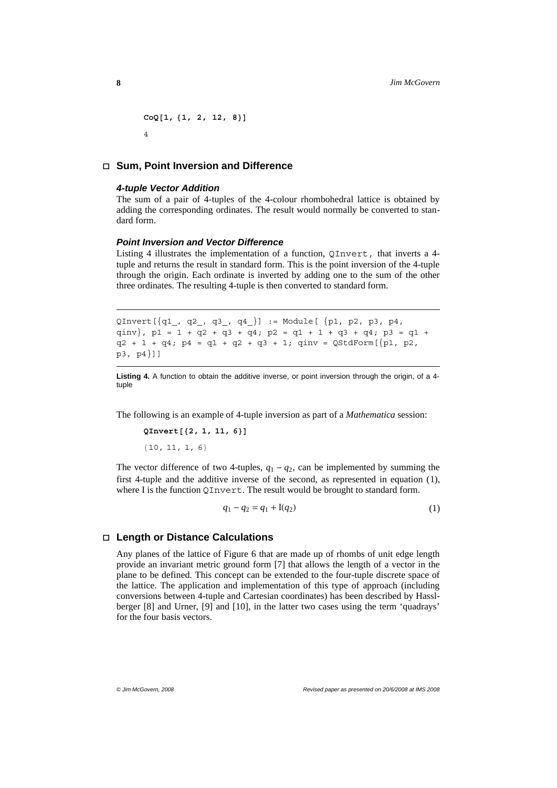$CoQ[1, {1, 2, 12, 8}]$ 4

#### **á Sum, Point Inversion and Difference**

#### *4-tuple Vector Addition*

The sum of a pair of 4-tuples of the 4-colour rhombohedral lattice is obtained by adding the corresponding ordinates. The result would normally be converted to standard form.

#### *Point Inversion and Vector Difference*

Listing 4 illustrates the implementation of a function, QInvert, that inverts a 4 tuple and returns the result in standard form. This is the point inversion of the 4-tuple through the origin. Each ordinate is inverted by adding one to the sum of the other three ordinates. The resulting 4-tuple is then converted to standard form.

```
QInvert[{q1}_, q2_, q3_, q4_} := Module[ {p1, p2, p3, p4,
qinv}, p1 = 1 + q2 + q3 + q4; p2 = q1 + 1 + q3 + q4; p3 = q1 + 
q2 + 1 + q4; p4 = q1 + q2 + q3 + 1; qinv = QStdForm[{p1, p2,p3, p4}]]
```
**Listing 4.** A function to obtain the additive inverse, or point inversion through the origin, of a 4 tuple

The following is an example of 4-tuple inversion as part of a *Mathematica* session:

```
QInvert<sup>[{2, 1, 11, 6}<sup>]</sup></sup>
{10, 11, 1, 6}
```
The vector difference of two 4-tuples,  $q_1 - q_2$ , can be implemented by summing the first 4-tuple and the additive inverse of the second, as represented in equation (1), where I is the function QInvert. The result would be brought to standard form.

$$
q_1 - q_2 = q_1 + I(q_2)
$$
 (1)

#### **á Length or Distance Calculations**

Any planes of the lattice of Figure 6 that are made up of rhombs of unit edge length provide an invariant metric ground form [7] that allows the length of a vector in the plane to be defined. This concept can be extended to the four-tuple discrete space of the lattice. The application and implementation of this type of approach (including conversions between 4-tuple and Cartesian coordinates) has been described by Hasslberger [8] and Urner, [9] and [10], in the latter two cases using the term 'quadrays' for the four basis vectors.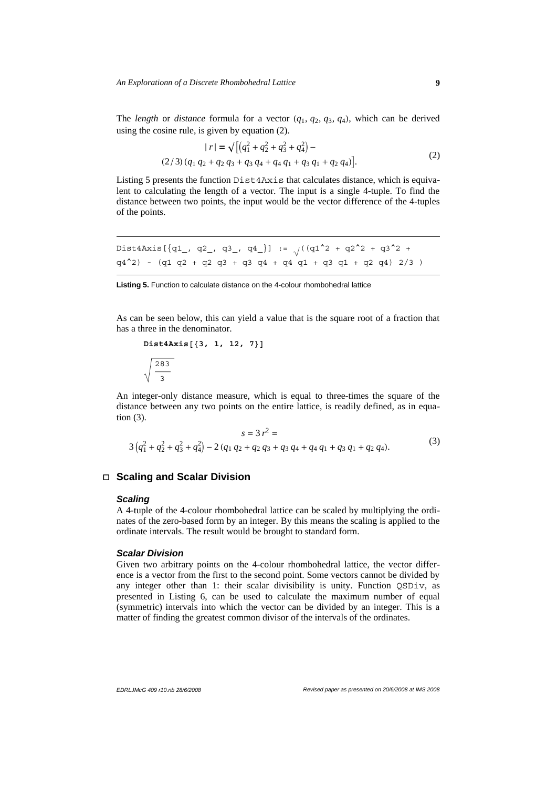The *length* or *distance* formula for a vector  $(q_1, q_2, q_3, q_4)$ , which can be derived using the cosine rule, is given by equation (2).

$$
|r| = \sqrt{\left[ (q_1^2 + q_2^2 + q_3^2 + q_4^2) - (2/3)(q_1 q_2 + q_2 q_3 + q_3 q_4 + q_4 q_1 + q_3 q_1 + q_2 q_4) \right]}.
$$
 (2)

Listing 5 presents the function Dist4Axis that calculates distance, which is equivalent to calculating the length of a vector. The input is a single 4-tuple. To find the distance between two points, the input would be the vector difference of the 4-tuples of the points.

```
Dist4Axis[\{q1, q2, q3, q4\}] := \sqrt{(q1^2 + q2^2 + q3^2 + q3^2 + q4)}q4^2) - (q1 q2 + q2 q3 + q3 q4 + q4 q1 + q3 q1 + q2 q4) 2/3 )
```
Listing 5. Function to calculate distance on the 4-colour rhombohedral lattice

As can be seen below, this can yield a value that is the square root of a fraction that has a three in the denominator.

```
Dist4Axis[3, 1, 12, 7)]283
   3
```
An integer-only distance measure, which is equal to three-times the square of the distance between any two points on the entire lattice, is readily defined, as in equation (3).

$$
s = 3 r2 =
$$
  
3 (q<sub>1</sub><sup>2</sup> + q<sub>2</sub><sup>2</sup> + q<sub>3</sub><sup>2</sup> + q<sub>4</sub><sup>2</sup>) - 2 (q<sub>1</sub> q<sub>2</sub> + q<sub>2</sub> q<sub>3</sub> + q<sub>3</sub> q<sub>4</sub> + q<sub>4</sub> q<sub>1</sub> + q<sub>3</sub> q<sub>1</sub> + q<sub>2</sub> q<sub>4</sub>). (3)

# **á Scaling and Scalar Division**

#### *Scaling*

A 4-tuple of the 4-colour rhombohedral lattice can be scaled by multiplying the ordinates of the zero-based form by an integer. By this means the scaling is applied to the ordinate intervals. The result would be brought to standard form.

#### *Scalar Division*

Given two arbitrary points on the 4-colour rhombohedral lattice, the vector difference is a vector from the first to the second point. Some vectors cannot be divided by any integer other than 1: their scalar divisibility is unity. Function QSDiv, as presented in Listing 6, can be used to calculate the maximum number of equal (symmetric) intervals into which the vector can be divided by an integer. This is a matter of finding the greatest common divisor of the intervals of the ordinates.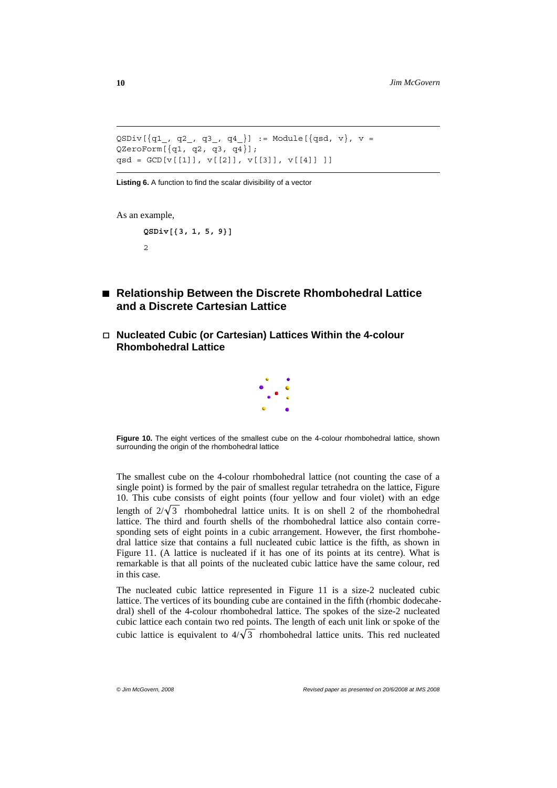```
QSDiv[{q1}_, q2_, q3_, q4_} := Module[{qsd, v}, v =
QZeroForm[\{q1, q2, q3, q4\}];
qsd = GCD[v[[1]], v[[2]], v[[3]], v[[4]] ]]
```
**Listing 6.** A function to find the scalar divisibility of a vector

```
As an example,
```

```
QSDiv@83, 1, 5, 9<D
2
```
- **à Relationship Between the Discrete Rhombohedral Lattice and a Discrete Cartesian Lattice**
- **á Nucleated Cubic (or Cartesian) Lattices Within the 4-colour Rhombohedral Lattice**



**Figure 10.** The eight vertices of the smallest cube on the 4-colour rhombohedral lattice, shown surrounding the origin of the rhombohedral lattice

The smallest cube on the 4-colour rhombohedral lattice (not counting the case of a single point) is formed by the pair of smallest regular tetrahedra on the lattice, Figure 10. This cube consists of eight points (four yellow and four violet) with an edge length of  $2/\sqrt{3}$  rhombohedral lattice units. It is on shell 2 of the rhombohedral lattice. The third and fourth shells of the rhombohedral lattice also contain corresponding sets of eight points in a cubic arrangement. However, the first rhombohedral lattice size that contains a full nucleated cubic lattice is the fifth, as shown in Figure 11. (A lattice is nucleated if it has one of its points at its centre). What is remarkable is that all points of the nucleated cubic lattice have the same colour, red in this case.

The nucleated cubic lattice represented in Figure 11 is a size-2 nucleated cubic lattice. The vertices of its bounding cube are contained in the fifth (rhombic dodecahedral) shell of the 4-colour rhombohedral lattice. The spokes of the size-2 nucleated cubic lattice each contain two red points. The length of each unit link or spoke of the cubic lattice is equivalent to  $4/\sqrt{3}$  rhombohedral lattice units. This red nucleated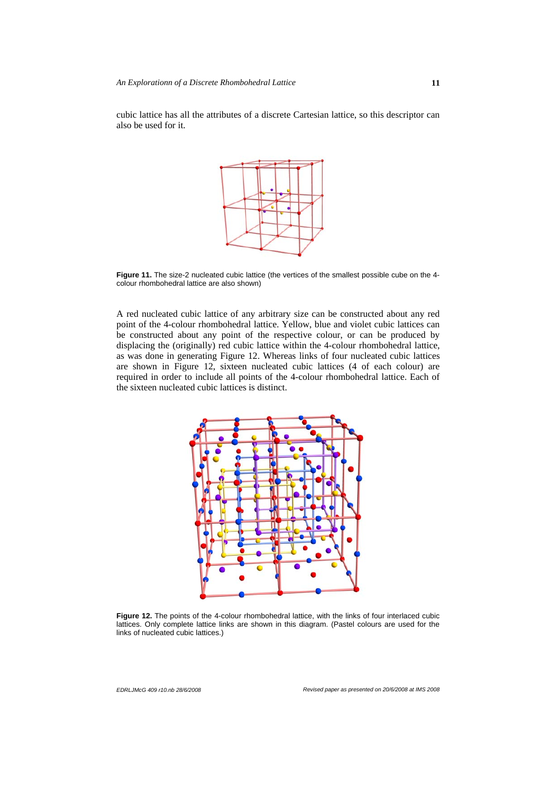cubic lattice has all the attributes of a discrete Cartesian lattice, so this descriptor can also be used for it.



**Figure 11.** The size-2 nucleated cubic lattice (the vertices of the smallest possible cube on the 4 colour rhombohedral lattice are also shown)

A red nucleated cubic lattice of any arbitrary size can be constructed about any red point of the 4-colour rhombohedral lattice. Yellow, blue and violet cubic lattices can be constructed about any point of the respective colour, or can be produced by displacing the (originally) red cubic lattice within the 4-colour rhombohedral lattice, as was done in generating Figure 12. Whereas links of four nucleated cubic lattices are shown in Figure 12, sixteen nucleated cubic lattices (4 of each colour) are required in order to include all points of the 4-colour rhombohedral lattice. Each of the sixteen nucleated cubic lattices is distinct.



Figure 12. The points of the 4-colour rhombohedral lattice, with the links of four interlaced cubic lattices. Only complete lattice links are shown in this diagram. (Pastel colours are used for the links of nucleated cubic lattices.)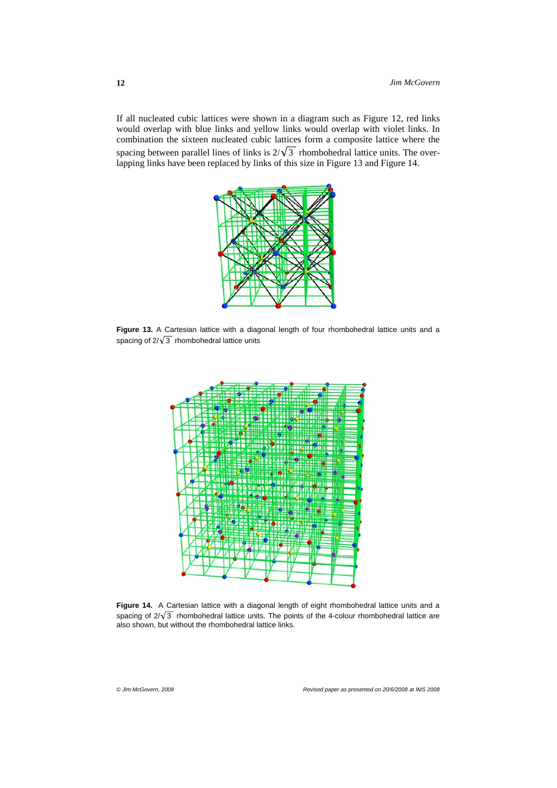If all nucleated cubic lattices were shown in a diagram such as Figure 12, red links would overlap with blue links and yellow links would overlap with violet links. In combination the sixteen nucleated cubic lattices form a composite lattice where the spacing between parallel lines of links is  $2/\sqrt{3}$  rhombohedral lattice units. The overlapping links have been replaced by links of this size in Figure 13 and Figure 14.



**Figure 13.** A Cartesian lattice with a diagonal length of four rhombohedral lattice units and a spacing of  $2/\sqrt{3}$  rhombohedral lattice units



Figure 14. A Cartesian lattice with a diagonal length of eight rhombohedral lattice units and a spacing of  $2/\sqrt{3}$  rhombohedral lattice units. The points of the 4-colour rhombohedral lattice are also shown, but without the rhombohedral lattice links.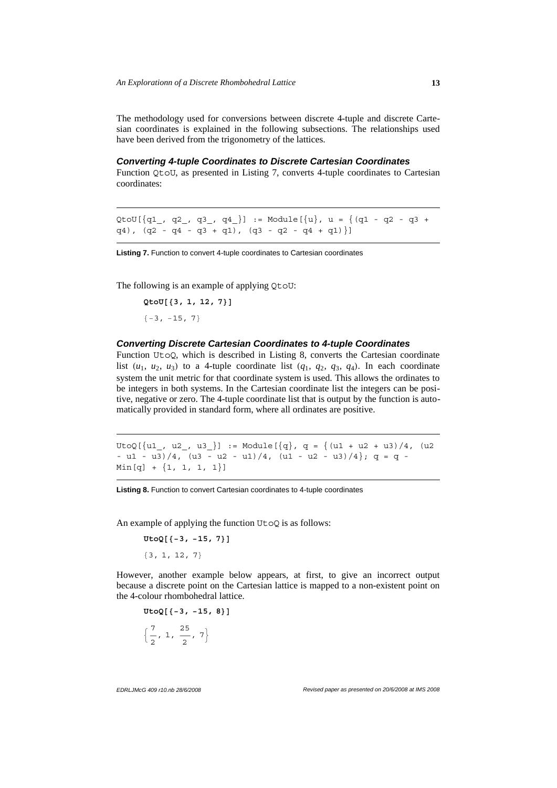The methodology used for conversions between discrete 4-tuple and discrete Cartesian coordinates is explained in the following subsections. The relationships used have been derived from the trigonometry of the lattices.

#### *Converting 4-tuple Coordinates to Discrete Cartesian Coordinates*

Function QtoU, as presented in Listing 7, converts 4-tuple coordinates to Cartesian coordinates:

QtoU[ $\{q1, q2, q3, q4\}$ ] := Module[ $\{u\}$ , u =  $\{(q1 - q2 - q3 +$ q4),  $(q2 - q4 - q3 + q1)$ ,  $(q3 - q2 - q4 + q1)$ ]

**Listing 7.** Function to convert 4-tuple coordinates to Cartesian coordinates

The following is an example of applying QtoU:

 $Q$ to**U**[{3, 1, 12, 7}]  ${-3, -15, 7}$ 

#### *Converting Discrete Cartesian Coordinates to 4-tuple Coordinates*

Function UtoQ, which is described in Listing 8, converts the Cartesian coordinate list  $(u_1, u_2, u_3)$  to a 4-tuple coordinate list  $(q_1, q_2, q_3, q_4)$ . In each coordinate system the unit metric for that coordinate system is used. This allows the ordinates to be integers in both systems. In the Cartesian coordinate list the integers can be positive, negative or zero. The 4-tuple coordinate list that is output by the function is automatically provided in standard form, where all ordinates are positive.

UtoQ[ $\{u1, u2, u3\}$ ] := Module[ $\{q\}$ , q =  $\{(u1 + u2 + u3)/4, (u2)$ - u1 - u3)/4, (u3 - u2 - u1)/4, (u1 - u2 - u3)/4};  $q = q$  - $Min[q] + \{1, 1, 1, 1\}]$ 

**Listing 8.** Function to convert Cartesian coordinates to 4-tuple coordinates

An example of applying the function  $U\text{to}O$  is as follows:

 $U$ toQ<sup>[{-3,</sup> -<sup>15, 7}]</sup>

 $\{3, 1, 12, 7\}$ 

However, another example below appears, at first, to give an incorrect output because a discrete point on the Cartesian lattice is mapped to a non-existent point on the 4-colour rhombohedral lattice.

```
UtoQ[{−3, −15, 8}]
:
   7
   \frac{7}{2}, 1, \frac{25}{2}\frac{1}{2}, 7\}
```
*EDRLJMcG 409 r10.nb 28/6/2008 Revised paper as presented on 20/6/2008 at IMS 2008*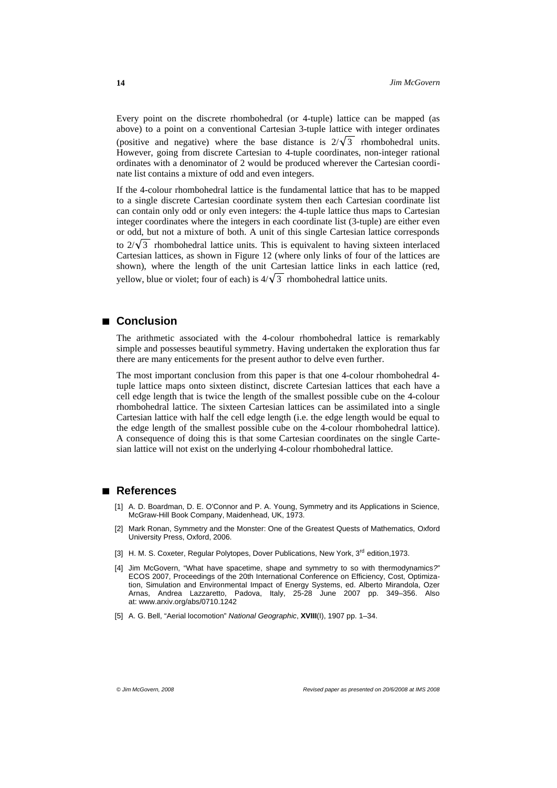Every point on the discrete rhombohedral (or 4-tuple) lattice can be mapped (as above) to a point on a conventional Cartesian 3-tuple lattice with integer ordinates (positive and negative) where the base distance is  $2/\sqrt{3}$  rhombohedral units. However, going from discrete Cartesian to 4-tuple coordinates, non-integer rational ordinates with a denominator of 2 would be produced wherever the Cartesian coordinate list contains a mixture of odd and even integers.

If the 4-colour rhombohedral lattice is the fundamental lattice that has to be mapped to a single discrete Cartesian coordinate system then each Cartesian coordinate list can contain only odd or only even integers: the 4-tuple lattice thus maps to Cartesian integer coordinates where the integers in each coordinate list (3-tuple) are either even or odd, but not a mixture of both. A unit of this single Cartesian lattice corresponds to  $2/\sqrt{3}$  rhombohedral lattice units. This is equivalent to having sixteen interlaced Cartesian lattices, as shown in Figure 12 (where only links of four of the lattices are shown), where the length of the unit Cartesian lattice links in each lattice (red, vellow, blue or violet; four of each) is  $4/\sqrt{3}$  rhombohedral lattice units.

# **à Conclusion**

The arithmetic associated with the 4-colour rhombohedral lattice is remarkably simple and possesses beautiful symmetry. Having undertaken the exploration thus far there are many enticements for the present author to delve even further.

The most important conclusion from this paper is that one 4-colour rhombohedral 4 tuple lattice maps onto sixteen distinct, discrete Cartesian lattices that each have a cell edge length that is twice the length of the smallest possible cube on the 4-colour rhombohedral lattice. The sixteen Cartesian lattices can be assimilated into a single Cartesian lattice with half the cell edge length (i.e. the edge length would be equal to the edge length of the smallest possible cube on the 4-colour rhombohedral lattice). A consequence of doing this is that some Cartesian coordinates on the single Cartesian lattice will not exist on the underlying 4-colour rhombohedral lattice.

# **à References**

- [1] A. D. Boardman, D. E. O'Connor and P. A. Young, Symmetry and its Applications in Science, McGraw-Hill Book Company, Maidenhead, UK, 1973.
- [2] Mark Ronan, Symmetry and the Monster: One of the Greatest Quests of Mathematics, Oxford University Press, Oxford, 2006.
- [3] H. M. S. Coxeter, Regular Polytopes, Dover Publications, New York, 3<sup>rd</sup> edition, 1973.
- [4] Jim McGovern, "What have spacetime, shape and symmetry to so with thermodynamics*?*" ECOS 2007, Proceedings of the 20th International Conference on Efficiency, Cost, Optimization, Simulation and Environmental Impact of Energy Systems, ed. Alberto Mirandola, Ozer Arnas, Andrea Lazzaretto, Padova, Italy, 25-28 June 2007 pp. 349–356. Also at: www.arxiv.org/abs/0710.1242
- [5] A. G. Bell, "Aerial locomotion" *National Geographic*, **XVIII**(I), 1907 pp. 1–34.